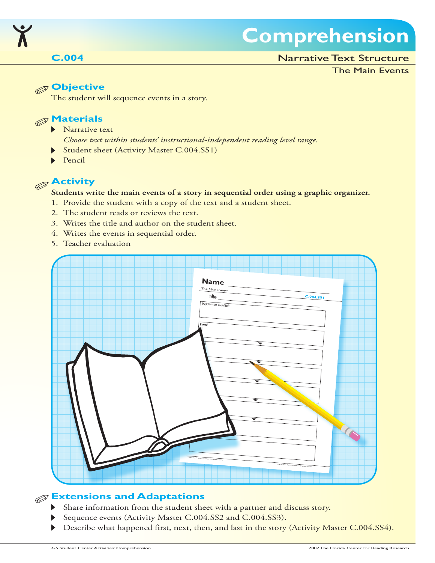

## **Comprehension**

### Narrative Text Structure

### The Main Events

### **Objective**

The student will sequence events in a story.



- **Narrative text** 
	- *Choose text within students' instructional-independent reading level range.*
- Student sheet (Activity Master C.004.SS1)
- Pencil

### **Activity**

#### **Students write the main events of a story in sequential order using a graphic organizer.**

- 1. Provide the student with a copy of the text and a student sheet.
- 2. The student reads or reviews the text.
- 3. Writes the title and author on the student sheet.
- 4. Writes the events in sequential order.
- 5. Teacher evaluation



### **Extensions and Adaptations**

- Share information from the student sheet with a partner and discuss story.  $\blacktriangleright$
- Sequence events (Activity Master C.004.SS2 and C.004.SS3).
- Describe what happened first, next, then, and last in the story (Activity Master C.004.SS4).  $\blacktriangleright$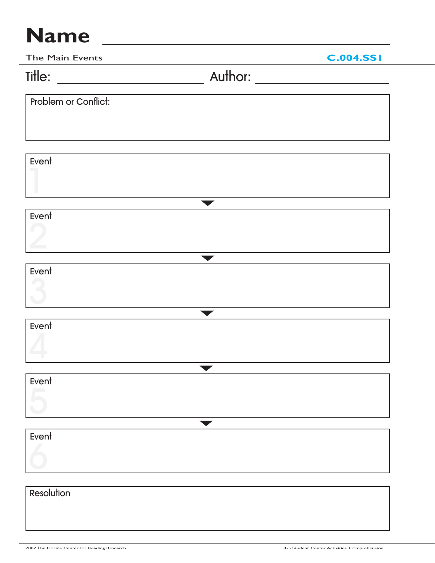| The Main Events      |                      | <b>C.004.SSI</b> |
|----------------------|----------------------|------------------|
|                      |                      |                  |
| Problem or Conflict: |                      |                  |
|                      |                      |                  |
|                      |                      |                  |
| Event                |                      |                  |
|                      |                      |                  |
|                      | $\blacktriangledown$ |                  |
| Event                |                      |                  |
|                      |                      |                  |
|                      | $\blacksquare$       |                  |
| Event                |                      |                  |
|                      |                      |                  |
|                      |                      |                  |
| Event                |                      |                  |
|                      |                      |                  |
|                      |                      |                  |
| Event                |                      |                  |
|                      |                      |                  |
|                      |                      |                  |
| Event                |                      |                  |
|                      |                      |                  |
|                      |                      |                  |
| Resolution           |                      |                  |
|                      |                      |                  |
|                      |                      |                  |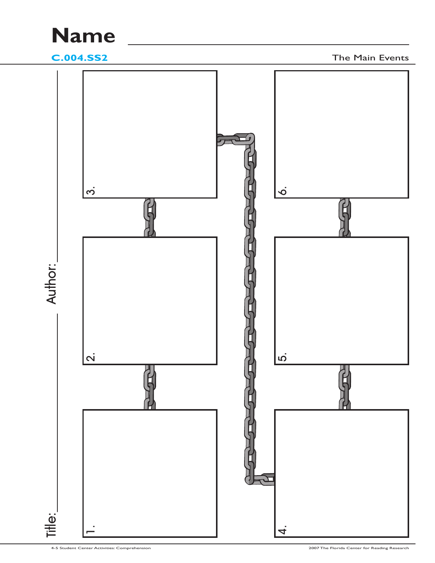**C.004.SS2** The Main Events

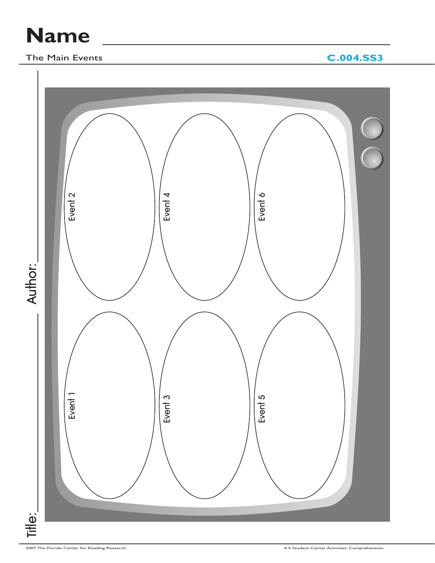### The Main Events **C.004.SS3**